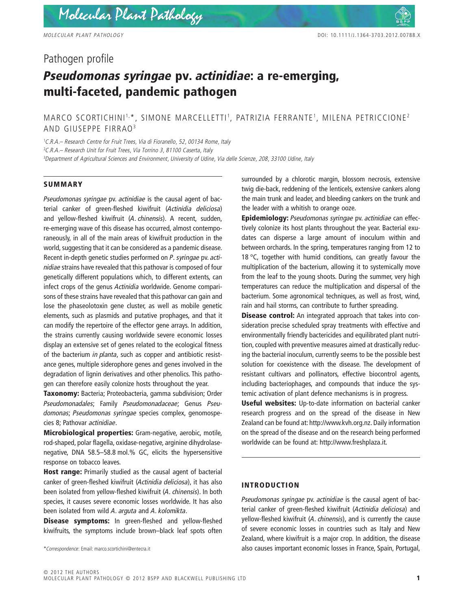# Pathogen profile

# *Pseudomonas syringae* **pv.** *actinidiae***: a re-emerging, multi-faceted, pandemic pathogen**

MARCO SCORTICHINI<sup>1,</sup>\*, SIMONE MARCELLETTI<sup>1</sup>, PATRIZIA FERRANTE<sup>1</sup>, MILENA PETRICCIONE<sup>2</sup> AND GIUSEPPE FIRRAO3

1 *C.R.A.– Research Centre for Fruit Trees, Via di Fioranello, 52, 00134 Rome, Italy* 2 *C.R.A.– Research Unit for Fruit Trees, Via Torrino 3, 81100 Caserta, Italy* 3 *Department of Agricultural Sciences and Environment, University of Udine, Via delle Scienze, 208, 33100 Udine, Italy*

#### **SUMMARY**

*Pseudomonas syringae* pv. *actinidiae* is the causal agent of bacterial canker of green-fleshed kiwifruit (*Actinidia deliciosa*) and yellow-fleshed kiwifruit (*A. chinensis*). A recent, sudden, re-emerging wave of this disease has occurred, almost contemporaneously, in all of the main areas of kiwifruit production in the world, suggesting that it can be considered as a pandemic disease. Recent in-depth genetic studies performed on *P. syringae* pv. *actinidiae* strains have revealed that this pathovar is composed of four genetically different populations which, to different extents, can infect crops of the genus *Actinidia* worldwide. Genome comparisons of these strains have revealed that this pathovar can gain and lose the phaseolotoxin gene cluster, as well as mobile genetic elements, such as plasmids and putative prophages, and that it can modify the repertoire of the effector gene arrays. In addition, the strains currently causing worldwide severe economic losses display an extensive set of genes related to the ecological fitness of the bacterium *in planta*, such as copper and antibiotic resistance genes, multiple siderophore genes and genes involved in the degradation of lignin derivatives and other phenolics. This pathogen can therefore easily colonize hosts throughout the year.

**Taxonomy:** Bacteria; Proteobacteria, gamma subdivision; Order *Pseudomonadales*; Family *Pseudomonadaceae*; Genus *Pseudomonas*; *Pseudomonas syringae* species complex, genomospecies 8; Pathovar *actinidiae*.

**Microbiological properties:** Gram-negative, aerobic, motile, rod-shaped, polar flagella, oxidase-negative, arginine dihydrolasenegative, DNA 58.5–58.8 mol.% GC, elicits the hypersensitive response on tobacco leaves.

**Host range:** Primarily studied as the causal agent of bacterial canker of green-fleshed kiwifruit (*Actinidia deliciosa*), it has also been isolated from yellow-fleshed kiwifruit (*A. chinensis*). In both species, it causes severe economic losses worldwide. It has also been isolated from wild *A. arguta* and *A. kolomikta*.

**Disease symptoms:** In green-fleshed and yellow-fleshed kiwifruits, the symptoms include brown–black leaf spots often

surrounded by a chlorotic margin, blossom necrosis, extensive twig die-back, reddening of the lenticels, extensive cankers along the main trunk and leader, and bleeding cankers on the trunk and the leader with a whitish to orange ooze.

**Epidemiology:** *Pseudomonas syringae* pv. *actinidiae* can effectively colonize its host plants throughout the year. Bacterial exudates can disperse a large amount of inoculum within and between orchards. In the spring, temperatures ranging from 12 to 18 °C, together with humid conditions, can greatly favour the multiplication of the bacterium, allowing it to systemically move from the leaf to the young shoots. During the summer, very high temperatures can reduce the multiplication and dispersal of the bacterium. Some agronomical techniques, as well as frost, wind, rain and hail storms, can contribute to further spreading.

**Disease control:** An integrated approach that takes into consideration precise scheduled spray treatments with effective and environmentally friendly bactericides and equilibrated plant nutrition, coupled with preventive measures aimed at drastically reducing the bacterial inoculum, currently seems to be the possible best solution for coexistence with the disease. The development of resistant cultivars and pollinators, effective biocontrol agents, including bacteriophages, and compounds that induce the systemic activation of plant defence mechanisms is in progress.

**Useful websites:** Up-to-date information on bacterial canker research progress and on the spread of the disease in New Zealand can be found at: http://www.kvh.org.nz. Daily information on the spread of the disease and on the research being performed worldwide can be found at: http://www.freshplaza.it.

# **INTRODUCTION**

*Pseudomonas syringae* pv. *actinidiae* is the causal agent of bacterial canker of green-fleshed kiwifruit (*Actinidia deliciosa*) and yellow-fleshed kiwifruit (*A. chinensis*), and is currently the cause of severe economic losses in countries such as Italy and New Zealand, where kiwifruit is a major crop. In addition, the disease \**Correspondence*: Email: marco.scortichini@entecra.it also causes important economic losses in France, Spain, Portugal,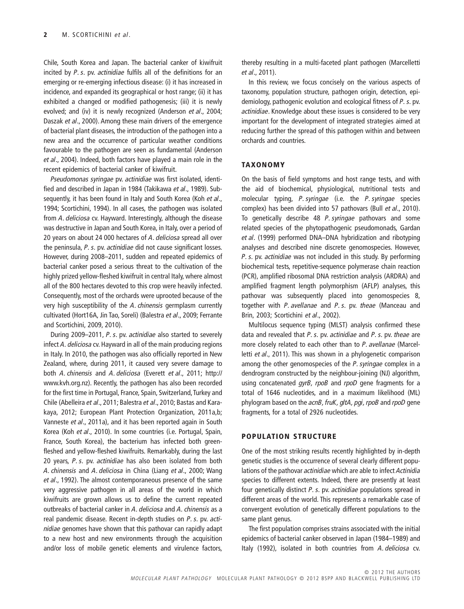Chile, South Korea and Japan. The bacterial canker of kiwifruit incited by *P. s*. pv. *actinidiae* fulfils all of the definitions for an emerging or re-emerging infectious disease: (i) it has increased in incidence, and expanded its geographical or host range; (ii) it has exhibited a changed or modified pathogenesis; (iii) it is newly evolved; and (iv) it is newly recognized (Anderson *et al*., 2004; Daszak *et al*., 2000). Among these main drivers of the emergence of bacterial plant diseases, the introduction of the pathogen into a new area and the occurrence of particular weather conditions favourable to the pathogen are seen as fundamental (Anderson *et al*., 2004). Indeed, both factors have played a main role in the recent epidemics of bacterial canker of kiwifruit.

*Pseudomonas syringae* pv. *actinidiae* was first isolated, identified and described in Japan in 1984 (Takikawa *et al*., 1989). Subsequently, it has been found in Italy and South Korea (Koh *et al*., 1994; Scortichini, 1994). In all cases, the pathogen was isolated from *A. deliciosa* cv. Hayward. Interestingly, although the disease was destructive in Japan and South Korea, in Italy, over a period of 20 years on about 24 000 hectares of *A. deliciosa* spread all over the peninsula, *P. s.* pv. *actinidiae* did not cause significant losses. However, during 2008–2011, sudden and repeated epidemics of bacterial canker posed a serious threat to the cultivation of the highly prized yellow-fleshed kiwifruit in central Italy, where almost all of the 800 hectares devoted to this crop were heavily infected. Consequently, most of the orchards were uprooted because of the very high susceptibility of the *A. chinensis* germplasm currently cultivated (Hort16A, Jin Tao, Soreli) (Balestra *et al*., 2009; Ferrante and Scortichini, 2009, 2010).

During 2009–2011, *P. s*. pv. *actinidiae* also started to severely infect *A. deliciosa* cv. Hayward in all of the main producing regions in Italy. In 2010, the pathogen was also officially reported in New Zealand, where, during 2011, it caused very severe damage to both *A. chinensis* and *A. deliciosa* (Everett *et al*., 2011; http:// www.kvh.org.nz). Recently, the pathogen has also been recorded for the first time in Portugal, France, Spain, Switzerland, Turkey and Chile (Abelleira *et al*., 2011; Balestra *et al*., 2010; Bastas and Karakaya, 2012; European Plant Protection Organization, 2011a,b; Vanneste *et al*., 2011a), and it has been reported again in South Korea (Koh *et al*., 2010). In some countries (i.e. Portugal, Spain, France, South Korea), the bacterium has infected both greenfleshed and yellow-fleshed kiwifruits. Remarkably, during the last 20 years, *P. s.* pv. *actinidiae* has also been isolated from both *A. chinensis* and *A. deliciosa* in China (Liang *et al*., 2000; Wang *et al*., 1992). The almost contemporaneous presence of the same very aggressive pathogen in all areas of the world in which kiwifruits are grown allows us to define the current repeated outbreaks of bacterial canker in *A. deliciosa* and *A. chinensis* as a real pandemic disease. Recent in-depth studies on *P. s*. pv. *actinidiae* genomes have shown that this pathovar can rapidly adapt to a new host and new environments through the acquisition and/or loss of mobile genetic elements and virulence factors,

thereby resulting in a multi-faceted plant pathogen (Marcelletti *et al*., 2011).

In this review, we focus concisely on the various aspects of taxonomy, population structure, pathogen origin, detection, epidemiology, pathogenic evolution and ecological fitness of *P. s*. pv. *actinidiae*. Knowledge about these issues is considered to be very important for the development of integrated strategies aimed at reducing further the spread of this pathogen within and between orchards and countries.

#### **TAXONOMY**

On the basis of field symptoms and host range tests, and with the aid of biochemical, physiological, nutritional tests and molecular typing, *P. syringae* (i.e. the *P. syringae* species complex) has been divided into 57 pathovars (Bull *et al*., 2010). To genetically describe 48 *P. syringae* pathovars and some related species of the phytopathogenic pseudomonads, Gardan *et al*. (1999) performed DNA–DNA hybridization and ribotyping analyses and described nine discrete genomospecies. However, *P. s*. pv. *actinidiae* was not included in this study. By performing biochemical tests, repetitive-sequence polymerase chain reaction (PCR), amplified ribosomal DNA restriction analysis (ARDRA) and amplified fragment length polymorphism (AFLP) analyses, this pathovar was subsequently placed into genomospecies 8, together with *P. avellanae* and *P. s*. pv. *theae* (Manceau and Brin, 2003; Scortichini *et al*., 2002).

Multilocus sequence typing (MLST) analysis confirmed these data and revealed that *P. s.* pv. *actinidiae* and *P. s*. pv. *theae* are more closely related to each other than to *P. avellanae* (Marcelletti *et al*., 2011). This was shown in a phylogenetic comparison among the other genomospecies of the *P. syringae* complex in a dendrogram constructed by the neighbour-joining (NJ) algorithm, using concatenated *gyrB, rpoB* and *rpoD* gene fragments for a total of 1646 nucleotides, and in a maximum likelihood (ML) phylogram based on the *acnB, fruK, gltA, pgi, rpoB* and *rpoD* gene fragments, for a total of 2926 nucleotides.

#### **POPULATION STRUCTURE**

One of the most striking results recently highlighted by in-depth genetic studies is the occurrence of several clearly different populations of the pathovar *actinidiae* which are able to infect *Actinidia* species to different extents. Indeed, there are presently at least four genetically distinct *P. s*. pv. *actinidiae* populations spread in different areas of the world. This represents a remarkable case of convergent evolution of genetically different populations to the same plant genus.

The first population comprises strains associated with the initial epidemics of bacterial canker observed in Japan (1984–1989) and Italy (1992), isolated in both countries from *A. deliciosa* cv.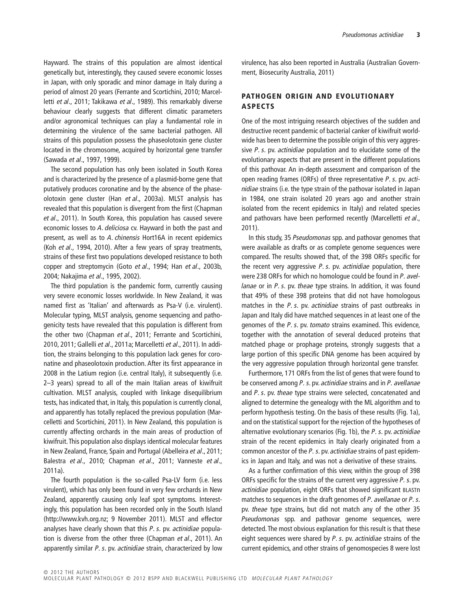Hayward. The strains of this population are almost identical genetically but, interestingly, they caused severe economic losses in Japan, with only sporadic and minor damage in Italy during a period of almost 20 years (Ferrante and Scortichini, 2010; Marcelletti *et al*., 2011; Takikawa *et al*., 1989). This remarkably diverse behaviour clearly suggests that different climatic parameters and/or agronomical techniques can play a fundamental role in determining the virulence of the same bacterial pathogen. All strains of this population possess the phaseolotoxin gene cluster located in the chromosome, acquired by horizontal gene transfer (Sawada *et al*., 1997, 1999).

The second population has only been isolated in South Korea and is characterized by the presence of a plasmid-borne gene that putatively produces coronatine and by the absence of the phaseolotoxin gene cluster (Han *et al*., 2003a). MLST analysis has revealed that this population is divergent from the first (Chapman *et al*., 2011). In South Korea, this population has caused severe economic losses to *A. deliciosa* cv. Hayward in both the past and present, as well as to *A. chinensis* Hort16A in recent epidemics (Koh *et al*., 1994, 2010). After a few years of spray treatments, strains of these first two populations developed resistance to both copper and streptomycin (Goto *et al*., 1994; Han *et al*., 2003b, 2004; Nakajima *et al*., 1995, 2002).

The third population is the pandemic form, currently causing very severe economic losses worldwide. In New Zealand, it was named first as 'Italian' and afterwards as Psa-V (i.e. virulent). Molecular typing, MLST analysis, genome sequencing and pathogenicity tests have revealed that this population is different from the other two (Chapman *et al*., 2011; Ferrante and Scortichini, 2010, 2011; Gallelli *et al*., 2011a; Marcelletti *et al*., 2011). In addition, the strains belonging to this population lack genes for coronatine and phaseolotoxin production. After its first appearance in 2008 in the Latium region (i.e. central Italy), it subsequently (i.e. 2–3 years) spread to all of the main Italian areas of kiwifruit cultivation. MLST analysis, coupled with linkage disequilibrium tests, has indicated that, in Italy, this population is currently clonal, and apparently has totally replaced the previous population (Marcelletti and Scortichini, 2011). In New Zealand, this population is currently affecting orchards in the main areas of production of kiwifruit.This population also displays identical molecular features in New Zealand, France, Spain and Portugal (Abelleira *et al*., 2011; Balestra *et al*., 2010; Chapman *et al*., 2011; Vanneste *et al*., 2011a).

The fourth population is the so-called Psa-LV form (i.e. less virulent), which has only been found in very few orchards in New Zealand, apparently causing only leaf spot symptoms. Interestingly, this population has been recorded only in the South Island (http://www.kvh.org.nz; 9 November 2011). MLST and effector analyses have clearly shown that this *P. s.* pv. *actinidiae* population is diverse from the other three (Chapman *et al*., 2011). An apparently similar *P. s*. pv. *actinidiae* strain, characterized by low

virulence, has also been reported in Australia (Australian Government, Biosecurity Australia, 2011)

# **PATHOGEN ORIGIN AND EVOLUTIONARY ASPECTS**

One of the most intriguing research objectives of the sudden and destructive recent pandemic of bacterial canker of kiwifruit worldwide has been to determine the possible origin of this very aggressive *P. s*. pv. *actinidiae* population and to elucidate some of the evolutionary aspects that are present in the different populations of this pathovar. An in-depth assessment and comparison of the open reading frames (ORFs) of three representative *P. s*. pv. *actinidiae* strains (i.e. the type strain of the pathovar isolated in Japan in 1984, one strain isolated 20 years ago and another strain isolated from the recent epidemics in Italy) and related species and pathovars have been performed recently (Marcelletti *et al*., 2011).

In this study, 35 *Pseudomonas* spp. and pathovar genomes that were available as drafts or as complete genome sequences were compared. The results showed that, of the 398 ORFs specific for the recent very aggressive *P. s*. pv. *actinidiae* population, there were 238 ORFs for which no homologue could be found in *P. avellanae* or in *P. s.* pv. *theae* type strains. In addition, it was found that 49% of these 398 proteins that did not have homologous matches in the *P. s*. pv. *actinidiae* strains of past outbreaks in Japan and Italy did have matched sequences in at least one of the genomes of the *P. s*. pv. *tomato* strains examined. This evidence, together with the annotation of several deduced proteins that matched phage or prophage proteins, strongly suggests that a large portion of this specific DNA genome has been acquired by the very aggressive population through horizontal gene transfer.

Furthermore, 171 ORFs from the list of genes that were found to be conserved among *P. s*. pv. *actinidiae* strains and in *P. avellanae* and *P. s*. pv. *theae* type strains were selected, concatenated and aligned to determine the genealogy with the ML algorithm and to perform hypothesis testing. On the basis of these results (Fig. 1a), and on the statistical support for the rejection of the hypotheses of alternative evolutionary scenarios (Fig. 1b), the *P. s*. pv. *actinidiae* strain of the recent epidemics in Italy clearly originated from a common ancestor of the *P. s*. pv. *actinidiae* strains of past epidemics in Japan and Italy, and was not a derivative of these strains.

As a further confirmation of this view, within the group of 398 ORFs specific for the strains of the current very aggressive *P. s*. pv. *actinidiae* population, eight ORFs that showed significant BLASTn matches to sequences in the draft genomes of *P. avellanae* or *P. s.* pv. *theae* type strains, but did not match any of the other 35 *Pseudomonas* spp. and pathovar genome sequences, were detected. The most obvious explanation for this result is that these eight sequences were shared by *P. s.* pv. *actinidiae* strains of the current epidemics, and other strains of genomospecies 8 were lost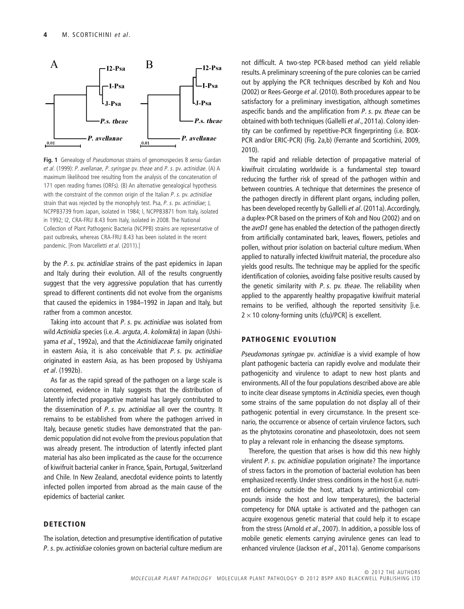

**Fig. 1** Genealogy of *Pseudomonas* strains of genomospecies 8 *sensu* Gardan *et al*. (1999): *P. avellanae, P. syringae* pv. *theae* and *P. s*. pv. *actinidiae*. (A) A maximum likelihood tree resulting from the analysis of the concatenation of 171 open reading frames (ORFs). (B) An alternative genealogical hypothesis with the constraint of the common origin of the Italian *P. s.* pv. *actinidiae* strain that was rejected by the monophyly test. Psa, *P. s.* pv. *actinidiae*; J, NCPPB3739 from Japan, isolated in 1984; I, NCPPB3871 from Italy, isolated in 1992; I2, CRA-FRU 8.43 from Italy, isolated in 2008. The National Collection of Plant Pathogenic Bacteria (NCPPB) strains are representative of past outbreaks, whereas CRA-FRU 8.43 has been isolated in the recent pandemic. [From Marcelletti *et al*. (2011).]

by the *P. s*. pv. *actinidiae* strains of the past epidemics in Japan and Italy during their evolution. All of the results congruently suggest that the very aggressive population that has currently spread to different continents did not evolve from the organisms that caused the epidemics in 1984–1992 in Japan and Italy, but rather from a common ancestor.

Taking into account that *P. s.* pv. *actinidiae* was isolated from wild *Actinidia* species (i.e. *A. arguta, A. kolomikta*) in Japan (Ushiyama *et al*., 1992a), and that the *Actinidiaceae* family originated in eastern Asia, it is also conceivable that *P. s.* pv. *actinidiae* originated in eastern Asia, as has been proposed by Ushiyama *et al*. (1992b).

As far as the rapid spread of the pathogen on a large scale is concerned, evidence in Italy suggests that the distribution of latently infected propagative material has largely contributed to the dissemination of *P. s*. pv. *actinidiae* all over the country. It remains to be established from where the pathogen arrived in Italy, because genetic studies have demonstrated that the pandemic population did not evolve from the previous population that was already present. The introduction of latently infected plant material has also been implicated as the cause for the occurrence of kiwifruit bacterial canker in France, Spain, Portugal, Switzerland and Chile. In New Zealand, anecdotal evidence points to latently infected pollen imported from abroad as the main cause of the epidemics of bacterial canker.

# **DETECTION**

The isolation, detection and presumptive identification of putative *P. s.* pv. *actinidiae* colonies grown on bacterial culture medium are

not difficult. A two-step PCR-based method can yield reliable results. A preliminary screening of the pure colonies can be carried out by applying the PCR techniques described by Koh and Nou (2002) or Rees-George *et al*. (2010). Both procedures appear to be satisfactory for a preliminary investigation, although sometimes aspecific bands and the amplification from *P. s*. pv. *theae* can be obtained with both techniques (Gallelli *et al*., 2011a). Colony identity can be confirmed by repetitive-PCR fingerprinting (i.e. BOX-PCR and/or ERIC-PCR) (Fig. 2a,b) (Ferrante and Scortichini, 2009, 2010).

The rapid and reliable detection of propagative material of kiwifruit circulating worldwide is a fundamental step toward reducing the further risk of spread of the pathogen within and between countries. A technique that determines the presence of the pathogen directly in different plant organs, including pollen, has been developed recently by Gallelli *et al*. (2011a). Accordingly, a duplex-PCR based on the primers of Koh and Nou (2002) and on the *avrD1* gene has enabled the detection of the pathogen directly from artificially contaminated bark, leaves, flowers, petioles and pollen, without prior isolation on bacterial culture medium. When applied to naturally infected kiwifruit material, the procedure also yields good results. The technique may be applied for the specific identification of colonies, avoiding false positive results caused by the genetic similarity with *P. s*. pv. *theae*. The reliability when applied to the apparently healthy propagative kiwifruit material remains to be verified, although the reported sensitivity [i.e.  $2 \times 10$  colony-forming units (cfu)/PCR] is excellent.

## **PATHOGENIC EVOLUTION**

*Pseudomonas syringae* pv*. actinidiae* is a vivid example of how plant pathogenic bacteria can rapidly evolve and modulate their pathogenicity and virulence to adapt to new host plants and environments. All of the four populations described above are able to incite clear disease symptoms in *Actinidia* species, even though some strains of the same population do not display all of their pathogenic potential in every circumstance. In the present scenario, the occurrence or absence of certain virulence factors, such as the phytotoxins coronatine and phaseolotoxin, does not seem to play a relevant role in enhancing the disease symptoms.

Therefore, the question that arises is how did this new highly virulent *P. s.* pv. *actinidiae* population originate? The importance of stress factors in the promotion of bacterial evolution has been emphasized recently. Under stress conditions in the host (i.e. nutrient deficiency outside the host, attack by antimicrobial compounds inside the host and low temperatures), the bacterial competency for DNA uptake is activated and the pathogen can acquire exogenous genetic material that could help it to escape from the stress (Arnold *et al*., 2007). In addition, a possible loss of mobile genetic elements carrying avirulence genes can lead to enhanced virulence (Jackson *et al*., 2011a). Genome comparisons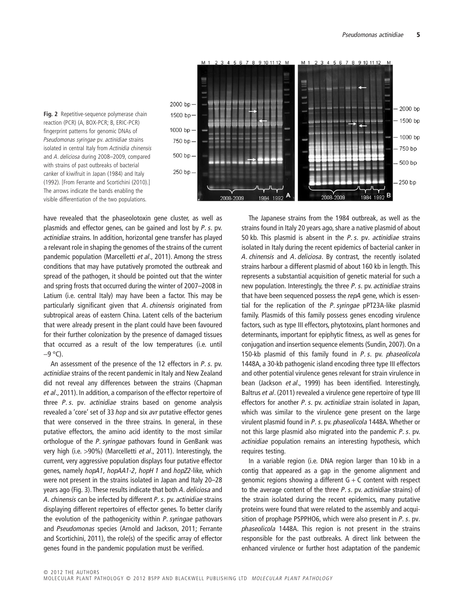

**Fig. 2** Repetitive-sequence polymerase chain reaction (PCR) (A, BOX-PCR; B, ERIC-PCR) fingerprint patterns for genomic DNAs of *Pseudomonas syringae* pv. *actinidiae* strains isolated in central Italy from *Actinidia chinensis* and *A. deliciosa* during 2008–2009, compared with strains of past outbreaks of bacterial canker of kiwifruit in Japan (1984) and Italy (1992). [From Ferrante and Scortichini (2010).] The arrows indicate the bands enabling the visible differentiation of the two populations.

have revealed that the phaseolotoxin gene cluster, as well as plasmids and effector genes, can be gained and lost by *P. s*. pv. *actinidiae* strains. In addition, horizontal gene transfer has played a relevant role in shaping the genomes of the strains of the current pandemic population (Marcelletti *et al*., 2011). Among the stress conditions that may have putatively promoted the outbreak and spread of the pathogen, it should be pointed out that the winter and spring frosts that occurred during the winter of 2007–2008 in Latium (i.e. central Italy) may have been a factor. This may be particularly significant given that *A. chinensis* originated from subtropical areas of eastern China. Latent cells of the bacterium that were already present in the plant could have been favoured for their further colonization by the presence of damaged tissues that occurred as a result of the low temperatures (i.e. until  $-9$  °C).

An assessment of the presence of the 12 effectors in *P. s.* pv. *actinidiae* strains of the recent pandemic in Italy and New Zealand did not reveal any differences between the strains (Chapman *et al*., 2011). In addition, a comparison of the effector repertoire of three *P. s*. pv*. actinidiae* strains based on genome analysis revealed a 'core' set of 33 *hop* and six *avr* putative effector genes that were conserved in the three strains. In general, in these putative effectors, the amino acid identity to the most similar orthologue of the *P. syringae* pathovars found in GenBank was very high (i.e. >90%) (Marcelletti *et al*., 2011). Interestingly, the current, very aggressive population displays four putative effector genes, namely *hopA1, hopAA1-2, hopH 1* and *hopZ2-*like, which were not present in the strains isolated in Japan and Italy 20–28 years ago (Fig. 3). These results indicate that both *A. deliciosa* and *A. chinensis* can be infected by different *P. s.* pv. *actinidiae* strains displaying different repertoires of effector genes. To better clarify the evolution of the pathogenicity within *P. syringae* pathovars and *Pseudomonas* species (Arnold and Jackson, 2011; Ferrante and Scortichini, 2011), the role(s) of the specific array of effector genes found in the pandemic population must be verified.

The Japanese strains from the 1984 outbreak, as well as the strains found in Italy 20 years ago, share a native plasmid of about 50 kb. This plasmid is absent in the *P. s.* pv*. actinidiae* strains isolated in Italy during the recent epidemics of bacterial canker in *A. chinensis* and *A. deliciosa*. By contrast, the recently isolated strains harbour a different plasmid of about 160 kb in length. This represents a substantial acquisition of genetic material for such a new population. Interestingly, the three *P. s.* pv. *actinidiae* strains that have been sequenced possess the *repA* gene, which is essential for the replication of the *P. syringae* pPT23A-like plasmid family. Plasmids of this family possess genes encoding virulence factors, such as type III effectors, phytotoxins, plant hormones and determinants, important for epiphytic fitness, as well as genes for conjugation and insertion sequence elements (Sundin, 2007). On a 150-kb plasmid of this family found in *P. s*. pv. *phaseolicola* 1448A, a 30-kb pathogenic island encoding three type III effectors and other potential virulence genes relevant for strain virulence in bean (Jackson *et al*., 1999) has been identified. Interestingly, Baltrus *et al*. (2011) revealed a virulence gene repertoire of type III effectors for another *P. s*. pv. *actinidiae* strain isolated in Japan, which was similar to the virulence gene present on the large virulent plasmid found in *P. s*. pv. *phaseolicola* 1448A. Whether or not this large plasmid also migrated into the pandemic *P. s*. pv. *actinidiae* population remains an interesting hypothesis, which requires testing.

In a variable region (i.e. DNA region larger than 10 kb in a contig that appeared as a gap in the genome alignment and genomic regions showing a different  $G + C$  content with respect to the average content of the three *P. s.* pv. *actinidiae* strains) of the strain isolated during the recent epidemics, many putative proteins were found that were related to the assembly and acquisition of prophage PSPPHO6, which were also present in *P. s.* pv*. phaseolicola* 1448A. This region is not present in the strains responsible for the past outbreaks. A direct link between the enhanced virulence or further host adaptation of the pandemic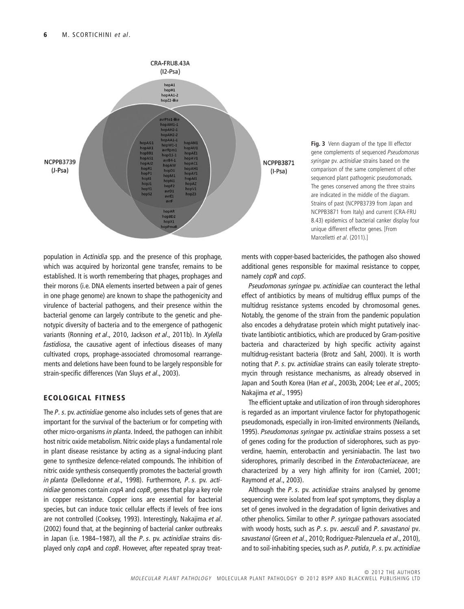

**Fig. 3** Venn diagram of the type III effector gene complements of sequenced *Pseudomonas syringae* pv. *actinidiae* strains based on the comparison of the same complement of other sequenced plant pathogenic pseudomonads. The genes conserved among the three strains are indicated in the middle of the diagram. Strains of past (NCPPB3739 from Japan and NCPPB3871 from Italy) and current (CRA-FRU 8.43) epidemics of bacterial canker display four unique different effector genes. [From Marcelletti *et al*. (2011).]

population in *Actinidia* spp. and the presence of this prophage, which was acquired by horizontal gene transfer, remains to be established. It is worth remembering that phages, prophages and their morons (i.e. DNA elements inserted between a pair of genes in one phage genome) are known to shape the pathogenicity and virulence of bacterial pathogens, and their presence within the bacterial genome can largely contribute to the genetic and phenotypic diversity of bacteria and to the emergence of pathogenic variants (Ronning *et al*., 2010, Jackson *et al*., 2011b). In *Xylella fastidiosa*, the causative agent of infectious diseases of many cultivated crops, prophage-associated chromosomal rearrangements and deletions have been found to be largely responsible for strain-specific differences (Van Sluys *et al*., 2003).

# **ECOLOGICAL FITNESS**

The *P. s.* pv. *actinidiae* genome also includes sets of genes that are important for the survival of the bacterium or for competing with other micro-organisms *in planta*. Indeed, the pathogen can inhibit host nitric oxide metabolism. Nitric oxide plays a fundamental role in plant disease resistance by acting as a signal-inducing plant gene to synthesize defence-related compounds. The inhibition of nitric oxide synthesis consequently promotes the bacterial growth *in planta* (Delledonne *et al*., 1998). Furthermore, *P. s.* pv. *actinidiae* genomes contain *copA* and *copB*, genes that play a key role in copper resistance. Copper ions are essential for bacterial species, but can induce toxic cellular effects if levels of free ions are not controlled (Cooksey, 1993). Interestingly, Nakajima *et al*. (2002) found that, at the beginning of bacterial canker outbreaks in Japan (i.e. 1984–1987), all the *P. s.* pv. *actinidiae* strains displayed only *copA* and *copB*. However, after repeated spray treatments with copper-based bactericides, the pathogen also showed additional genes responsible for maximal resistance to copper, namely *copR* and *copS.*

*Pseudomonas syringae* pv. *actinidiae* can counteract the lethal effect of antibiotics by means of multidrug efflux pumps of the multidrug resistance systems encoded by chromosomal genes. Notably, the genome of the strain from the pandemic population also encodes a dehydratase protein which might putatively inactivate lantibiotic antibiotics, which are produced by Gram-positive bacteria and characterized by high specific activity against multidrug-resistant bacteria (Brotz and Sahl, 2000). It is worth noting that *P. s*. pv. *actinidiae* strains can easily tolerate streptomycin through resistance mechanisms, as already observed in Japan and South Korea (Han *et al*., 2003b, 2004; Lee *et al*., 2005; Nakajima *et al*., 1995)

The efficient uptake and utilization of iron through siderophores is regarded as an important virulence factor for phytopathogenic pseudomonads, especially in iron-limited environments (Neilands, 1995). *Pseudomonas syringae* pv. *actinidiae* strains possess a set of genes coding for the production of siderophores, such as pyoverdine, haemin, enterobactin and yersiniabactin. The last two siderophores, primarily described in the *Enterobacteriaceae*, are characterized by a very high affinity for iron (Carniel, 2001; Raymond *et al*., 2003).

Although the *P. s.* pv. *actinidiae* strains analysed by genome sequencing were isolated from leaf spot symptoms, they display a set of genes involved in the degradation of lignin derivatives and other phenolics. Similar to other *P. syringae* pathovars associated with woody hosts, such as *P. s.* pv*. aesculi* and *P. savastanoi* pv*. savastanoi* (Green *et al*., 2010; Rodriguez-Palenzuela *et al*., 2010), and to soil-inhabiting species, such as *P. putida, P. s.* pv. *actinidiae*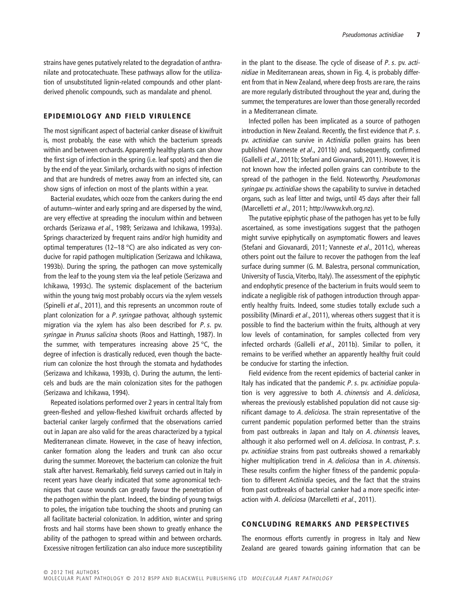strains have genes putatively related to the degradation of anthranilate and protocatechuate. These pathways allow for the utilization of unsubstituted lignin-related compounds and other plantderived phenolic compounds, such as mandalate and phenol.

#### **EPIDEMIOLOGY AND FIELD VIRULENCE**

The most significant aspect of bacterial canker disease of kiwifruit is, most probably, the ease with which the bacterium spreads within and between orchards. Apparently healthy plants can show the first sign of infection in the spring (i.e. leaf spots) and then die by the end of the year. Similarly, orchards with no signs of infection and that are hundreds of metres away from an infected site, can show signs of infection on most of the plants within a year.

Bacterial exudates, which ooze from the cankers during the end of autumn–winter and early spring and are dispersed by the wind, are very effective at spreading the inoculum within and between orchards (Serizawa *et al*., 1989; Serizawa and Ichikawa, 1993a). Springs characterized by frequent rains and/or high humidity and optimal temperatures (12–18 °C) are also indicated as very conducive for rapid pathogen multiplication (Serizawa and Ichikawa, 1993b). During the spring, the pathogen can move systemically from the leaf to the young stem via the leaf petiole (Serizawa and Ichikawa, 1993c). The systemic displacement of the bacterium within the young twig most probably occurs via the xylem vessels (Spinelli *et al*., 2011), and this represents an uncommon route of plant colonization for a *P. syringae* pathovar, although systemic migration via the xylem has also been described for *P. s*. pv. *syringae* in *Prunus salicina* shoots (Roos and Hattingh, 1987). In the summer, with temperatures increasing above 25  $\degree$ C, the degree of infection is drastically reduced, even though the bacterium can colonize the host through the stomata and hydathodes (Serizawa and Ichikawa, 1993b, c). During the autumn, the lenticels and buds are the main colonization sites for the pathogen (Serizawa and Ichikawa, 1994).

Repeated isolations performed over 2 years in central Italy from green-fleshed and yellow-fleshed kiwifruit orchards affected by bacterial canker largely confirmed that the observations carried out in Japan are also valid for the areas characterized by a typical Mediterranean climate. However, in the case of heavy infection, canker formation along the leaders and trunk can also occur during the summer. Moreover, the bacterium can colonize the fruit stalk after harvest. Remarkably, field surveys carried out in Italy in recent years have clearly indicated that some agronomical techniques that cause wounds can greatly favour the penetration of the pathogen within the plant. Indeed, the binding of young twigs to poles, the irrigation tube touching the shoots and pruning can all facilitate bacterial colonization. In addition, winter and spring frosts and hail storms have been shown to greatly enhance the ability of the pathogen to spread within and between orchards. Excessive nitrogen fertilization can also induce more susceptibility

in the plant to the disease. The cycle of disease of *P. s.* pv. *actinidiae* in Mediterranean areas, shown in Fig. 4, is probably different from that in New Zealand, where deep frosts are rare, the rains are more regularly distributed throughout the year and, during the summer, the temperatures are lower than those generally recorded in a Mediterranean climate.

Infected pollen has been implicated as a source of pathogen introduction in New Zealand. Recently, the first evidence that *P. s*. pv. *actinidiae* can survive in *Actinidia* pollen grains has been published (Vanneste *et al*., 2011b) and, subsequently, confirmed (Gallelli *et al*., 2011b; Stefani and Giovanardi, 2011). However, it is not known how the infected pollen grains can contribute to the spread of the pathogen in the field. Noteworthy, *Pseudomonas syringae* pv. *actinidiae* shows the capability to survive in detached organs, such as leaf litter and twigs, until 45 days after their fall (Marcelletti *et al*., 2011; http://www.kvh.org.nz).

The putative epiphytic phase of the pathogen has yet to be fully ascertained, as some investigations suggest that the pathogen might survive epiphytically on asymptomatic flowers and leaves (Stefani and Giovanardi, 2011; Vanneste *et al*., 2011c), whereas others point out the failure to recover the pathogen from the leaf surface during summer (G. M. Balestra, personal communication, University of Tuscia, Viterbo, Italy). The assessment of the epiphytic and endophytic presence of the bacterium in fruits would seem to indicate a negligible risk of pathogen introduction through apparently healthy fruits. Indeed, some studies totally exclude such a possibility (Minardi *et al*., 2011), whereas others suggest that it is possible to find the bacterium within the fruits, although at very low levels of contamination, for samples collected from very infected orchards (Gallelli *et al*., 2011b). Similar to pollen, it remains to be verified whether an apparently healthy fruit could be conducive for starting the infection.

Field evidence from the recent epidemics of bacterial canker in Italy has indicated that the pandemic *P. s.* pv. *actinidiae* population is very aggressive to both *A. chinensis* and *A. deliciosa*, whereas the previously established population did not cause significant damage to *A. deliciosa*. The strain representative of the current pandemic population performed better than the strains from past outbreaks in Japan and Italy on *A. chinensis* leaves, although it also performed well on *A. deliciosa*. In contrast, *P. s.* pv. *actinidiae* strains from past outbreaks showed a remarkably higher multiplication trend in *A. deliciosa* than in *A. chinensis.* These results confirm the higher fitness of the pandemic population to different *Actinidia* species, and the fact that the strains from past outbreaks of bacterial canker had a more specific interaction with *A. deliciosa* (Marcelletti *et al*., 2011).

## **CONCLUDING REMARKS AND PERSPECTIVES**

The enormous efforts currently in progress in Italy and New Zealand are geared towards gaining information that can be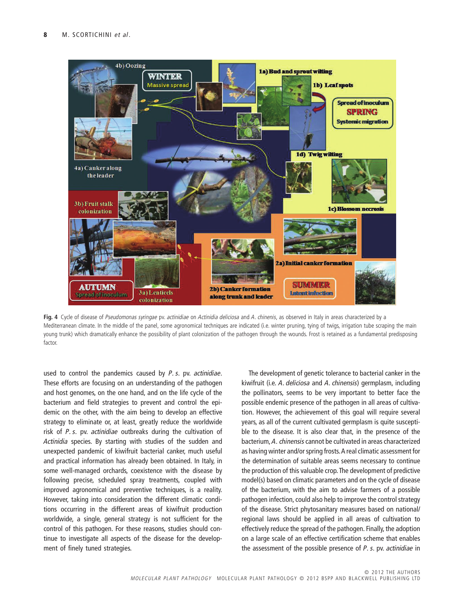

**Fig. 4** Cycle of disease of *Pseudomonas syringae* pv. *actinidiae* on *Actinidia deliciosa* and *A. chinenis*, as observed in Italy in areas characterized by a Mediterranean climate. In the middle of the panel, some agronomical techniques are indicated (i.e. winter pruning, tying of twigs, irrigation tube scraping the main young trunk) which dramatically enhance the possibility of plant colonization of the pathogen through the wounds. Frost is retained as a fundamental predisposing factor.

used to control the pandemics caused by *P. s*. pv. *actinidiae*. These efforts are focusing on an understanding of the pathogen and host genomes, on the one hand, and on the life cycle of the bacterium and field strategies to prevent and control the epidemic on the other, with the aim being to develop an effective strategy to eliminate or, at least, greatly reduce the worldwide risk of *P. s.* pv. *actinidiae* outbreaks during the cultivation of *Actinidia* species. By starting with studies of the sudden and unexpected pandemic of kiwifruit bacterial canker, much useful and practical information has already been obtained. In Italy, in some well-managed orchards, coexistence with the disease by following precise, scheduled spray treatments, coupled with improved agronomical and preventive techniques, is a reality. However, taking into consideration the different climatic conditions occurring in the different areas of kiwifruit production worldwide, a single, general strategy is not sufficient for the control of this pathogen. For these reasons, studies should continue to investigate all aspects of the disease for the development of finely tuned strategies.

The development of genetic tolerance to bacterial canker in the kiwifruit (i.e. *A. deliciosa* and *A. chinensis*) germplasm, including the pollinators, seems to be very important to better face the possible endemic presence of the pathogen in all areas of cultivation. However, the achievement of this goal will require several years, as all of the current cultivated germplasm is quite susceptible to the disease. It is also clear that, in the presence of the bacterium, *A. chinensis*cannot be cultivated in areas characterized as having winter and/or spring frosts.A real climatic assessment for the determination of suitable areas seems necessary to continue the production of this valuable crop.The development of predictive model(s) based on climatic parameters and on the cycle of disease of the bacterium, with the aim to advise farmers of a possible pathogen infection, could also help to improve the control strategy of the disease. Strict phytosanitary measures based on national/ regional laws should be applied in all areas of cultivation to effectively reduce the spread of the pathogen. Finally, the adoption on a large scale of an effective certification scheme that enables the assessment of the possible presence of *P. s*. pv. *actinidiae* in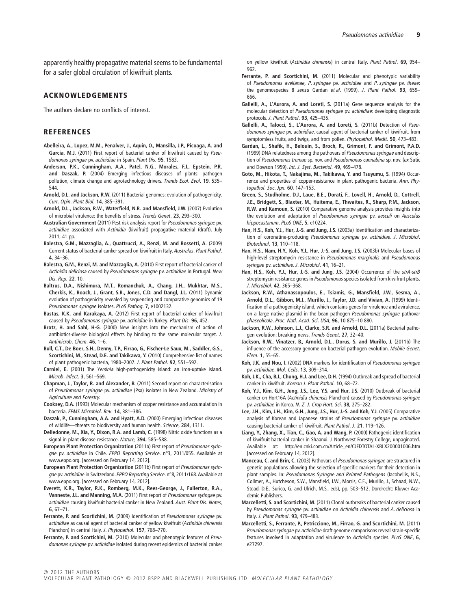apparently healthy propagative material seems to be fundamental for a safer global circulation of kiwifruit plants.

#### **ACKNOWLEDGEMENTS**

The authors declare no conflicts of interest.

#### **REFERENCES**

- **Abelleira, A., Lopez, M.M., Penalver, J., Aquin, O., Mansilla, J.P., Picoaga, A. and Garcia, M.J.** (2011) First report of bacterial canker of kiwifruit caused by *Pseudomonas syringae* pv. *actinidiae* in Spain. *Plant Dis.* **95**, 1583.
- **Anderson, P.K., Cunningham, A.A., Patel, N.G., Morales, F.J., Epstein, P.R. and Daszak, P.** (2004) Emerging infectious diseases of plants: pathogen pollution, climate change and agrotechnology drivers. *Trends Ecol. Evol.* **19**, 535– 544.
- **Arnold, D.L. and Jackson, R.W.** (2011) Bacterial genomes: evolution of pathogenicity. *Curr. Opin. Plant Biol.* **14**, 385–391.
- **Arnold, D.L., Jackson, R.W., Waterfield, N.R. and Mansfield, J.W.** (2007) Evolution of microbial virulence: the benefits of stress. *Trends Genet.* **23**, 293–300.
- **Australian Government** (2011) Pest risk analysis report for *Pseudomonas syringae* pv. *actinidiae* associated with *Actinidia* (kiwifruit) propagative material (draft). July 2011, 41 pp.
- **Balestra, G.M., Mazzaglia, A., Quattrucci, A., Renzi, M. and Rossetti, A.** (2009) Current status of bacterial canker spread on kiwifruit in Italy. *Australas. Plant Pathol.* **4**, 34–36.
- **Balestra, G.M., Renzi, M. and Mazzaglia, A.** (2010) First report of bacterial canker of *Actinidia deliciosa* caused by *Pseudomonas syringae* pv. *actinidiae* in Portugal. *New Dis. Rep.* **22**, 10.
- **Baltrus, D.A., Nishimura, M.T., Romanchuk, A., Chang, J.H., Mukhtar, M.S., Cherkis, K., Roach, J., Grant, S.R., Jones, C.D. and Dangl, J.L.** (2011) Dynamic evolution of pathogenicity revealed by sequencing and comparative genomics of 19 *Pseudomonas syringae* isolates. *PLoS Pathog.* **7**, e1002132.
- **Bastas, K.K. and Karakaya, A.** (2012) First report of bacterial canker of kiwifruit caused by *Pseudomonas syringae* pv. *actinidiae* in Turkey. *Plant Dis.* **96**, 452.
- **Brotz, H. and Sahl, H-G.** (2000) New insights into the mechanism of action of antibiotics-diverse biological effects by binding to the same molecular target. *J. Antimicrob. Chem.* **46**, 1–6.
- **Bull, C.T., De Boer, S.H., Denny, T.P., Firrao, G., Fischer-Le Saux, M., Saddler, G.S., Scortichini, M., Stead, D.E. and Takikawa, Y.** (2010) Comprehensive list of names of plant pathogenic bacteria, 1980–2007. *J. Plant Pathol.* **92**, 551–592.
- **Carniel, E.** (2001) The *Yersinia* high-pathogenicity island: an iron-uptake island. *Microb. Infect.* **3**, 561–569.
- **Chapman, J., Taylor, R. and Alexander, B.** (2011) Second report on characterisation of *Pseudomonas syringae* pv. *actinidiae* (Psa) isolates in New Zealand. *Ministry of Agriculture and Forestry*.
- **Cooksey, D.A.** (1993) Molecular mechanism of copper resistance and accumulation in bacteria. *FEMS Microbiol. Rev.* **14**, 381–386.
- **Daszak, P., Cunningham, A.A. and Hyatt, A.D.** (2000) Emerging infectious diseases of wildlife—threats to biodiversity and human health. *Science*, **284**, 1311.
- **Delledonne, M., Xia, Y., Dixon, R.A. and Lamb, C.** (1998) Nitric oxide functions as a signal in plant disease resistance. *Nature*, **394**, 585–588.
- **European Plant Protection Organization** (2011a) First report of *Pseudomonas syringae* pv. *actinidiae* in Chile. *EPPO Reporting Service*. n°3, 2011/055. Available at www.eppo.org. [accessed on February 14, 2012].
- **European Plant Protection Organization** (2011b) First report of *Pseudomonas syringae* pv. *actinidiae* in Switzerland. *EPPO Reporting Service*. n°8, 2011/168.Available at www.eppo.org. [accessed on February 14, 2012].
- **Everett, K.R., Taylor, R.K., Romberg, M.K., Rees-George, J., Fullerton, R.A., Vanneste, J.L. and Manning, M.A.** (2011) First report of *Pseudomonas syringae* pv. *actinidiae* causing kiwifruit bacterial canker in New Zealand. *Aust. Plant Dis. Notes*, **6**, 67–71.
- **Ferrante, P. and Scortichini, M.** (2009) Identification of *Pseudomonas syringae* pv. *actinidiae* as causal agent of bacterial canker of yellow kiwifruit (*Actinidia chinensis* Planchon) in central Italy. *J. Phytopathol.* **157**, 768–770.
- **Ferrante, P. and Scortichini, M.** (2010) Molecular and phenotypic features of *Pseudomonas syringae* pv. *actinidiae* isolated during recent epidemics of bacterial canker

on yellow kiwifruit (*Actinidia chinensis*) in central Italy. *Plant Pathol.* **69**, 954–  $962$ 

- **Ferrante, P. and Scortichini, M.** (2011) Molecular and phenotypic variability of *Pseudomonas avellanae, P. syringae* pv. *actinidiae* and *P. syringae* pv. *theae*: the genomospecies 8 *sensu* Gardan *et al*. (1999). *J. Plant Pathol.* **93**, 659– 666.
- **Gallelli, A., L'Aurora, A. and Loreti, S.** (2011a) Gene sequence analysis for the molecular detection of *Pseudomonas syringae* pv. *actinidiae*: developing diagnostic protocols. *J. Plant Pathol.* **93**, 425–435.
- **Gallelli, A., Talocci, S., L'Aurora, A. and Loreti, S.** (2011b) Detection of *Pseudomonas syringae* pv. *actinidiae*, causal agent of bacterial canker of kiwifruit, from symptomless fruits, and twigs, and from pollen. *Phytopathol. Medit.* **50**, 473–483.
- **Gardan, L., Shafik, H., Belouin, S., Broch, R., Grimont, F. and Grimont, P.A.D.** (1999) DNA relatedness among the pathovars of *Pseudomonas syringae* and description of *Pseudomonas tremae* sp. nov. and *Pseudomonas cannabina* sp. nov. (*ex* Sutic and Dowson 1959). *Int. J. Syst. Bacteriol.* **49**, 469–478.
- **Goto, M., Hikota, T., Nakajima, M., Takikawa, Y. and Tsuyumu, S.** (1994) Occurrence and properties of copper-resistance in plant pathogenic bacteria. *Ann. Phytopathol. Soc. Jpn.* **60**, 147–153.
- **Green, S., Studholme, D.J., Laue, B.E., Dorati, F., Lovell, H., Arnold, D., Cottrell, J.E., Bridgett, S., Blaxter, M., Huitema, E., Thwaites, R., Sharp, P.M., Jackson, R.W. and Kamoun, S.** (2010) Comparative genome analysis provides insights into the evolution and adaptation of *Pseudomonas syringae* pv. *aesculi* on *Aesculus hippocastanum*. *PLoS ONE*, **5**, e10224.
- **Han, H.S., Koh, Y.J., Hur, J.-S. and Jung, J.S.** (2003a) Identification and characterization of coronatine-producing *Pseudomonas syringae* pv. *actinidiae*. *J. Microbiol. Biotechnol.* **13**, 110–118.
- **Han, H.S., Nam, H.Y., Koh, Y.J., Hur, J.-S. and Jung, J.S.** (2003b) Molecular bases of high-level streptomycin resistance in *Pseudomonas marginalis* and *Pseudomonas syringae* pv. *actinidiae*. *J. Microbiol.* **41**, 16–21.
- **Han, H.S., Koh, Y.J., Hur, J.-S. and Jung, J.S.** (2004) Occurrence of the *strA-strB* streptomycin resistance genes in *Pseudomonas* species isolated from kiwifruit plants. *J. Microbiol.* **42**, 365–368.
- **Jackson, R.W., Athanassopoulos, E., Tsiamis, G., Mansfield, J.W., Sesma, A., Arnold, D.L., Gibbon, M.J., Murillo, J., Taylor, J.D. and Vivian, A.** (1999) Identification of a pathogenicity island, which contains genes for virulence and avirulence, on a large native plasmid in the bean pathogen *Pseudomonas syringae* pathovar *phaseolicola*. *Proc. Natl. Acad. Sci. USA*, **96**, 10 875–10 880.
- **Jackson, R.W., Johnson, L.J., Clarke, S.R. and Arnold, D.L.** (2011a) Bacterial pathogen evolution: breaking news. *Trends Genet.* **27**, 32–40.
- **Jackson, R.W., Vinatzer, B., Arnold, D.L., Dorus, S. and Murillo, J.** (2011b) The influence of the accessory genome on bacterial pathogen evolution. *Mobile Genet. Elem.* **1**, 55–65.
- **Koh, J.K. and Nou, I.** (2002) DNA markers for identification of *Pseudomonas syringae* pv. *actinidiae*. *Mol. Cells*, **13**, 309–314.
- **Koh, J.K., Cha, B.J., Chung, H.J. and Lee, D.H.** (1994) Outbreak and spread of bacterial canker in kiwifruit. *Korean J. Plant Pathol.* **10**, 68–72.
- **Koh, Y.J., Kim, G.H., Jung, J.S., Lee, Y.S. and Hur, J.S.** (2010) Outbreak of bacterial canker on Hort16A (*Actinidia chinensis* Planchon) caused by *Pseudomonas syringae* pv. *actinidiae* in Korea. *N. Z. J. Crop Hort. Sci.* **38**, 275–282.
- **Lee, J.H., Kim, J.H., Kim, G.H., Jung, J.S., Hur, J.-S. and Koh, Y.J.** (2005) Comparative analysis of Korean and Japanese strains of *Pseudomonas syringae* pv. *actinidiae* causing bacterial canker of kiwifruit. *Plant Pathol. J.* **21**, 119–126.
- **Liang, Y., Zhang, X., Tian, C., Gao, A. and Wang, P.** (2000) Pathogenic identification of kiwifruit bacterial canker in Shaanxi. J. Northwest Forestry College, unpaginated. Available at: http://en.cnki.com.cn/Article\_en/CJFDTOTAL-XBLX200001006.htm [accessed on February 14, 2012].
- **Manceau, C. and Brin, C.** (2003) Pathovars of *Pseudomonas syringae* are structured in genetic populations allowing the selection of specific markers for their detection in plant samples. In: *Pseudomonas Syringae and Related Pathogens* (Iacobellis, N.S., Collmer, A., Hutcheson, S.W., Mansfield, J.W., Morris, C.E., Murillo, J., Schaad, N.W., Stead, D.E., Surico, G. and Ulrich, M.S., eds), pp. 503–512. Dordrecht: Kluwer Academic Publishers.
- **Marcelletti, S. and Scortichini, M.** (2011) Clonal outbreaks of bacterial canker caused by *Pseudomonas syringae* pv. *actinidiae* on *Actinidia chinensis* and *A. deliciosa* in Italy. *J. Plant Pathol.* **93**, 479–483.
- **Marcelletti, S., Ferrante, P., Petriccione, M., Firrao, G. and Scortichini, M.** (2011) *Pseudomonas syringae* pv. *actinidiae* draft genome comparisons reveal strain-specific features involved in adaptation and virulence to *Actinidia* species. *PLoS ONE*, **6**, e27297.